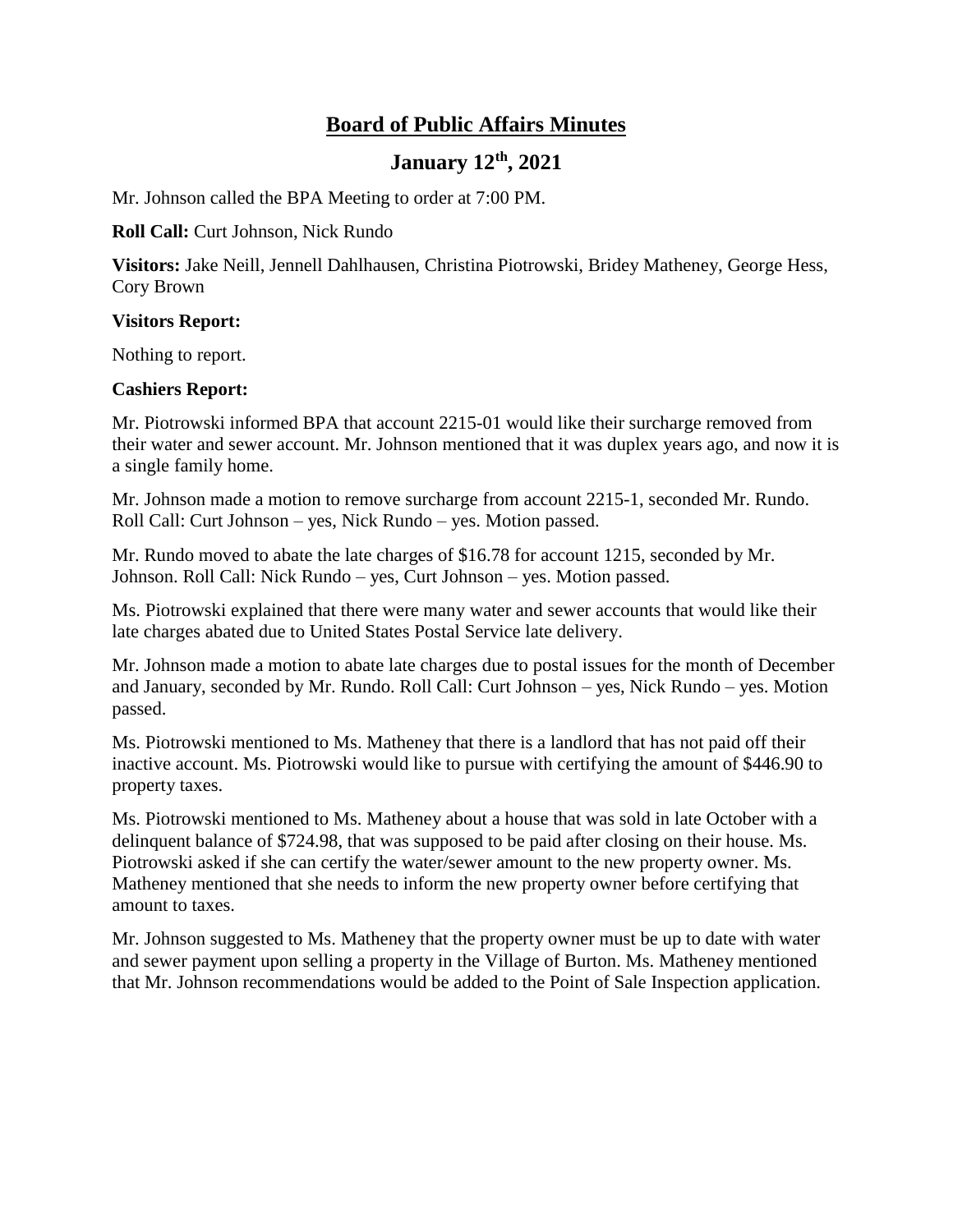# **Board of Public Affairs Minutes**

# **January 12th, 2021**

Mr. Johnson called the BPA Meeting to order at 7:00 PM.

#### **Roll Call:** Curt Johnson, Nick Rundo

**Visitors:** Jake Neill, Jennell Dahlhausen, Christina Piotrowski, Bridey Matheney, George Hess, Cory Brown

#### **Visitors Report:**

Nothing to report.

#### **Cashiers Report:**

Mr. Piotrowski informed BPA that account 2215-01 would like their surcharge removed from their water and sewer account. Mr. Johnson mentioned that it was duplex years ago, and now it is a single family home.

Mr. Johnson made a motion to remove surcharge from account 2215-1, seconded Mr. Rundo. Roll Call: Curt Johnson – yes, Nick Rundo – yes. Motion passed.

Mr. Rundo moved to abate the late charges of \$16.78 for account 1215, seconded by Mr. Johnson. Roll Call: Nick Rundo – yes, Curt Johnson – yes. Motion passed.

Ms. Piotrowski explained that there were many water and sewer accounts that would like their late charges abated due to United States Postal Service late delivery.

Mr. Johnson made a motion to abate late charges due to postal issues for the month of December and January, seconded by Mr. Rundo. Roll Call: Curt Johnson – yes, Nick Rundo – yes. Motion passed.

Ms. Piotrowski mentioned to Ms. Matheney that there is a landlord that has not paid off their inactive account. Ms. Piotrowski would like to pursue with certifying the amount of \$446.90 to property taxes.

Ms. Piotrowski mentioned to Ms. Matheney about a house that was sold in late October with a delinquent balance of \$724.98, that was supposed to be paid after closing on their house. Ms. Piotrowski asked if she can certify the water/sewer amount to the new property owner. Ms. Matheney mentioned that she needs to inform the new property owner before certifying that amount to taxes.

Mr. Johnson suggested to Ms. Matheney that the property owner must be up to date with water and sewer payment upon selling a property in the Village of Burton. Ms. Matheney mentioned that Mr. Johnson recommendations would be added to the Point of Sale Inspection application.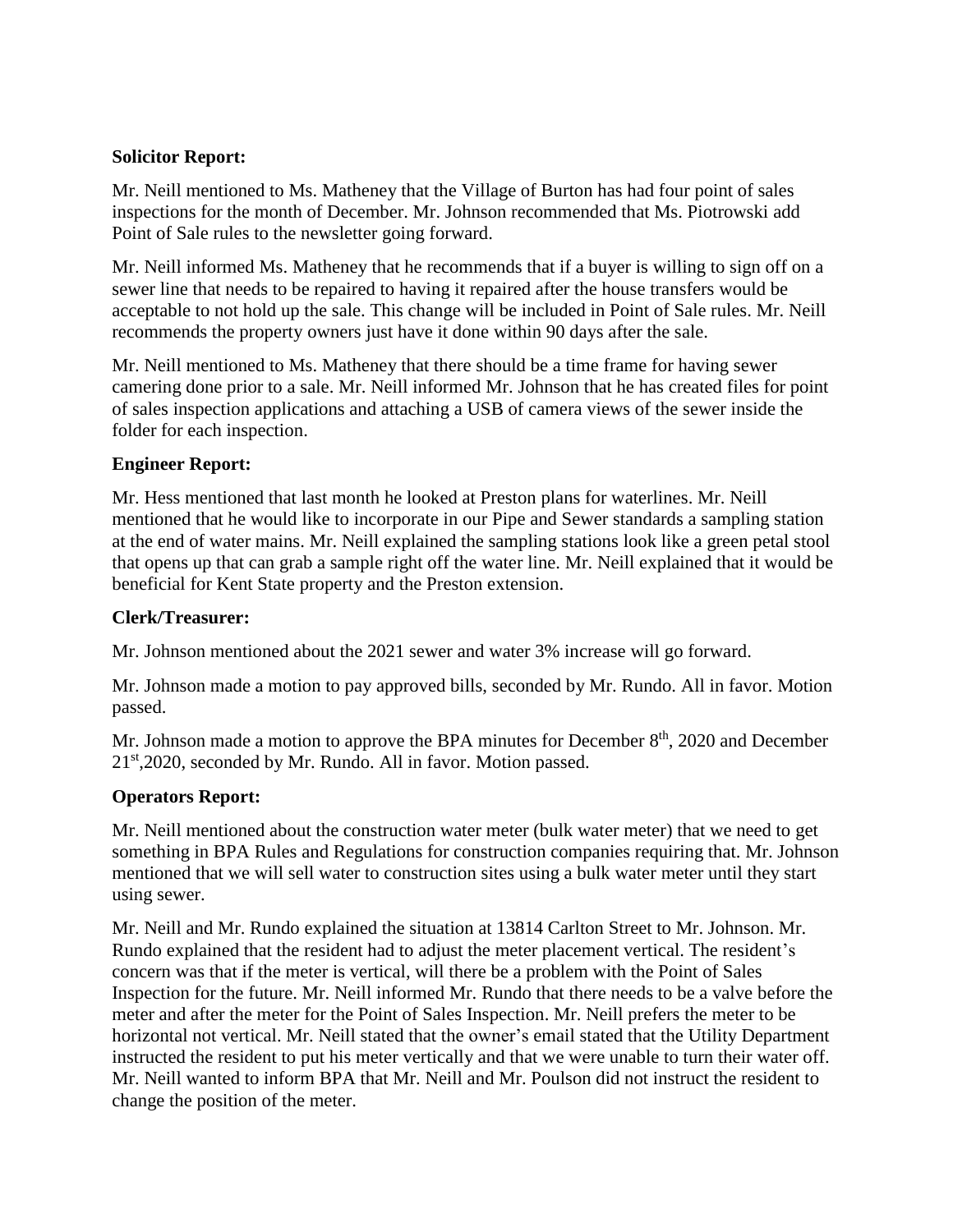# **Solicitor Report:**

Mr. Neill mentioned to Ms. Matheney that the Village of Burton has had four point of sales inspections for the month of December. Mr. Johnson recommended that Ms. Piotrowski add Point of Sale rules to the newsletter going forward.

Mr. Neill informed Ms. Matheney that he recommends that if a buyer is willing to sign off on a sewer line that needs to be repaired to having it repaired after the house transfers would be acceptable to not hold up the sale. This change will be included in Point of Sale rules. Mr. Neill recommends the property owners just have it done within 90 days after the sale.

Mr. Neill mentioned to Ms. Matheney that there should be a time frame for having sewer camering done prior to a sale. Mr. Neill informed Mr. Johnson that he has created files for point of sales inspection applications and attaching a USB of camera views of the sewer inside the folder for each inspection.

## **Engineer Report:**

Mr. Hess mentioned that last month he looked at Preston plans for waterlines. Mr. Neill mentioned that he would like to incorporate in our Pipe and Sewer standards a sampling station at the end of water mains. Mr. Neill explained the sampling stations look like a green petal stool that opens up that can grab a sample right off the water line. Mr. Neill explained that it would be beneficial for Kent State property and the Preston extension.

#### **Clerk/Treasurer:**

Mr. Johnson mentioned about the 2021 sewer and water 3% increase will go forward.

Mr. Johnson made a motion to pay approved bills, seconded by Mr. Rundo. All in favor. Motion passed.

Mr. Johnson made a motion to approve the BPA minutes for December  $8<sup>th</sup>$ , 2020 and December 21<sup>st</sup>, 2020, seconded by Mr. Rundo. All in favor. Motion passed.

# **Operators Report:**

Mr. Neill mentioned about the construction water meter (bulk water meter) that we need to get something in BPA Rules and Regulations for construction companies requiring that. Mr. Johnson mentioned that we will sell water to construction sites using a bulk water meter until they start using sewer.

Mr. Neill and Mr. Rundo explained the situation at 13814 Carlton Street to Mr. Johnson. Mr. Rundo explained that the resident had to adjust the meter placement vertical. The resident's concern was that if the meter is vertical, will there be a problem with the Point of Sales Inspection for the future. Mr. Neill informed Mr. Rundo that there needs to be a valve before the meter and after the meter for the Point of Sales Inspection. Mr. Neill prefers the meter to be horizontal not vertical. Mr. Neill stated that the owner's email stated that the Utility Department instructed the resident to put his meter vertically and that we were unable to turn their water off. Mr. Neill wanted to inform BPA that Mr. Neill and Mr. Poulson did not instruct the resident to change the position of the meter.